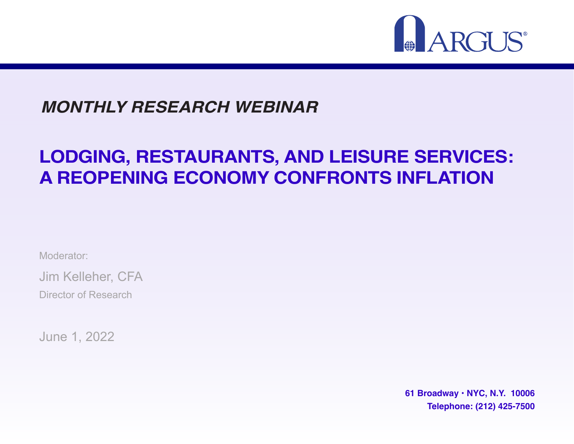

#### **MONTHLY RESEARCH WEBINAR**

#### **LODGING, RESTAURANTS, AND LEISURE SERVICES: A REOPENING ECONOMY CONFRONTS INFLATION**

Moderator:

Jim Kelleher, CFA

Director of Research

June 1, 2022

**61 Broadway • NYC, N.Y. 10006 Telephone: (212) 425-7500**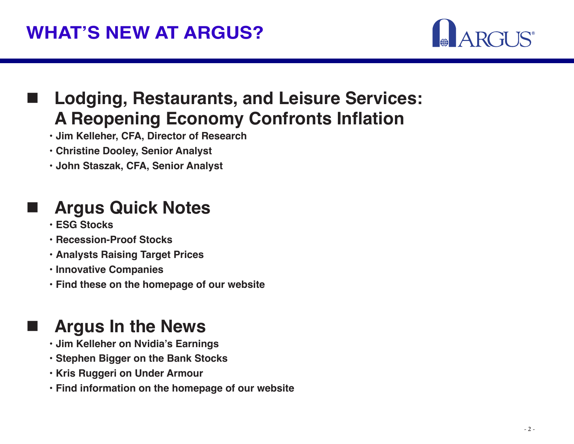

#### **Lodging, Restaurants, and Leisure Services: A Reopening Economy Confronts Inflation**

- **• Jim Kelleher, CFA, Director of Research**
- **• Christine Dooley, Senior Analyst**
- **• John Staszak, CFA, Senior Analyst**

#### **Argus Quick Notes**

- **• ESG Stocks**
- **• Recession-Proof Stocks**
- **• Analysts Raising Target Prices**
- **• Innovative Companies**
- **• Find these on the homepage of our website**

#### **Argus In the News**

- **• Jim Kelleher on Nvidia's Earnings**
- **• Stephen Bigger on the Bank Stocks**
- **• Kris Ruggeri on Under Armour**
- **• Find information on the homepage of our website**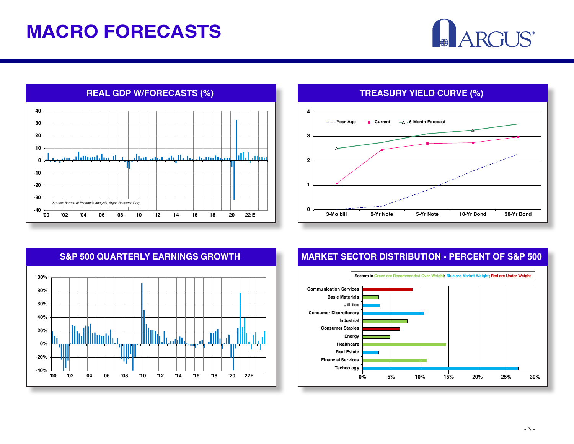#### **MACRO FORECASTS**

# ARGUS®







#### **S&P 500 QUARTERLY EARNINGS GROWTH MARKET SECTOR DISTRIBUTION - PERCENT OF S&P 500**

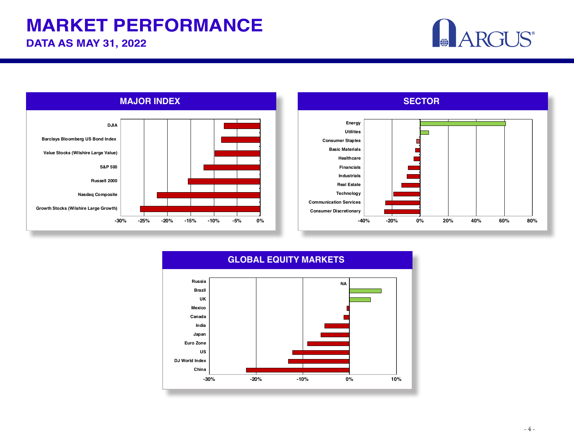#### **MARKET PERFORMANCE**

**DATA AS MAY 31, 2022**





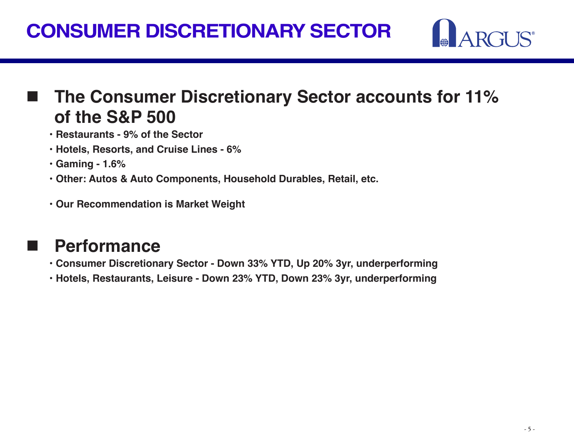

#### **The Consumer Discretionary Sector accounts for 11% of the S&P 500**

- **• Restaurants 9% of the Sector**
- **• Hotels, Resorts, and Cruise Lines 6%**
- **• Gaming 1.6%**
- **• Other: Autos & Auto Components, Household Durables, Retail, etc.**
- **• Our Recommendation is Market Weight**

#### **Performance**

- **• Consumer Discretionary Sector Down 33% YTD, Up 20% 3yr, underperforming**
- **• Hotels, Restaurants, Leisure Down 23% YTD, Down 23% 3yr, underperforming**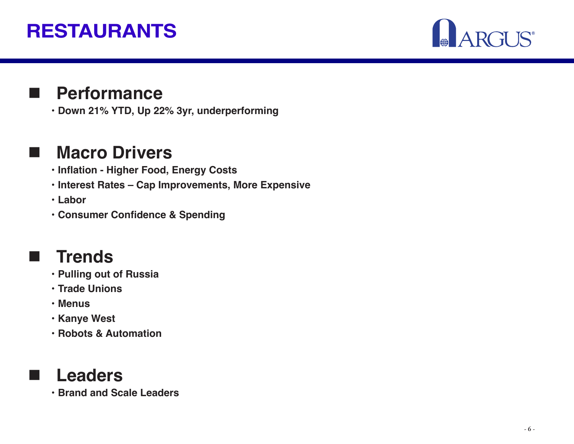## **RESTAURANTS**



#### **Performance**

**• Down 21% YTD, Up 22% 3yr, underperforming**

#### **Macro Drivers**

- **• Inflation Higher Food, Energy Costs**
- **• Interest Rates Cap Improvements, More Expensive**
- **• Labor**
- **• Consumer Confidence & Spending**

#### **Trends**

- **• Pulling out of Russia**
- **• Trade Unions**
- **• Menus**
- **• Kanye West**
- **• Robots & Automation**



**• Brand and Scale Leaders**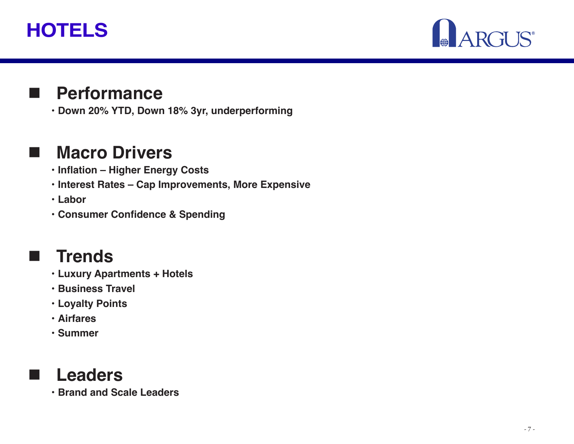## **HOTELS**



#### **Performance**

**• Down 20% YTD, Down 18% 3yr, underperforming** 

#### **Macro Drivers**

- **• Inflation Higher Energy Costs**
- **• Interest Rates Cap Improvements, More Expensive**
- **• Labor**
- **• Consumer Confidence & Spending**

#### **Trends**

- **• Luxury Apartments + Hotels**
- **• Business Travel**
- **• Loyalty Points**
- **• Airfares**
- **• Summer**



**• Brand and Scale Leaders**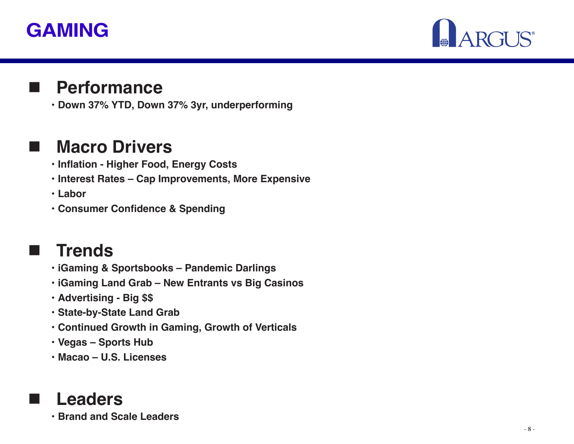#### **GAMING**



#### **Performance**

**• Down 37% YTD, Down 37% 3yr, underperforming**

#### **Macro Drivers**

- **• Inflation Higher Food, Energy Costs**
- **• Interest Rates Cap Improvements, More Expensive**
- **• Labor**
- **• Consumer Confidence & Spending**

#### **Trends**

- **• iGaming & Sportsbooks Pandemic Darlings**
- **• iGaming Land Grab New Entrants vs Big Casinos**
- **• Advertising Big \$\$**
- **• State-by-State Land Grab**
- **• Continued Growth in Gaming, Growth of Verticals**
- **• Vegas Sports Hub**
- **• Macao U.S. Licenses**

#### **Leaders**

**• Brand and Scale Leaders**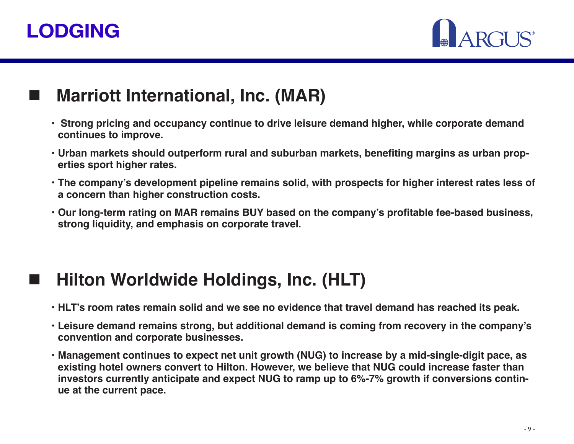## **LODGING**



#### **Marriott International, Inc. (MAR)**

- **Strong pricing and occupancy continue to drive leisure demand higher, while corporate demand continues to improve.**
- **• Urban markets should outperform rural and suburban markets, benefiting margins as urban properties sport higher rates.**
- **• The company's development pipeline remains solid, with prospects for higher interest rates less of a concern than higher construction costs.**
- **• Our long-term rating on MAR remains BUY based on the company's profitable fee-based business, strong liquidity, and emphasis on corporate travel.**

#### **Hilton Worldwide Holdings, Inc. (HLT)**

- **• HLT's room rates remain solid and we see no evidence that travel demand has reached its peak.**
- **• Leisure demand remains strong, but additional demand is coming from recovery in the company's convention and corporate businesses.**
- **• Management continues to expect net unit growth (NUG) to increase by a mid-single-digit pace, as existing hotel owners convert to Hilton. However, we believe that NUG could increase faster than investors currently anticipate and expect NUG to ramp up to 6%-7% growth if conversions continue at the current pace.**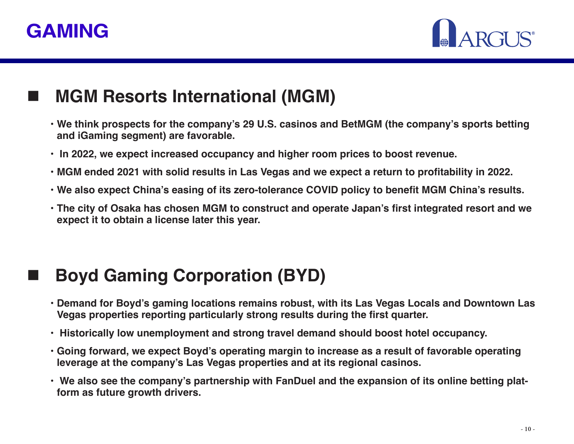



#### **MGM Resorts International (MGM)**

- **• We think prospects for the company's 29 U.S. casinos and BetMGM (the company's sports betting and iGaming segment) are favorable.**
- **In 2022, we expect increased occupancy and higher room prices to boost revenue.**
- **• MGM ended 2021 with solid results in Las Vegas and we expect a return to profitability in 2022.**
- **• We also expect China's easing of its zero-tolerance COVID policy to benefit MGM China's results.**
- **• The city of Osaka has chosen MGM to construct and operate Japan's first integrated resort and we expect it to obtain a license later this year.**

#### **Boyd Gaming Corporation (BYD)**

- **• Demand for Boyd's gaming locations remains robust, with its Las Vegas Locals and Downtown Las Vegas properties reporting particularly strong results during the first quarter.**
- **Historically low unemployment and strong travel demand should boost hotel occupancy.**
- **• Going forward, we expect Boyd's operating margin to increase as a result of favorable operating leverage at the company's Las Vegas properties and at its regional casinos.**
- **• We also see the company's partnership with FanDuel and the expansion of its online betting platform as future growth drivers.**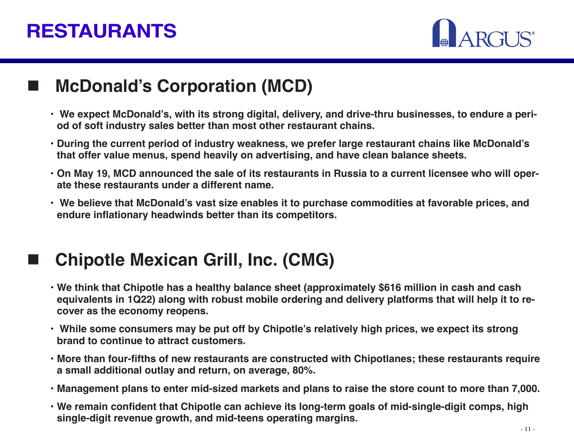#### **RESTAURANTS**

#### **McDonald's Corporation (MCD)**

- **• We expect McDonald's, with its strong digital, delivery, and drive-thru businesses, to endure a period of soft industry sales better than most other restaurant chains.**
- **• During the current period of industry weakness, we prefer large restaurant chains like McDonald's that offer value menus, spend heavily on advertising, and have clean balance sheets.**
- **• On May 19, MCD announced the sale of its restaurants in Russia to a current licensee who will operate these restaurants under a different name.**
- **• We believe that McDonald's vast size enables it to purchase commodities at favorable prices, and endure inflationary headwinds better than its competitors.**

#### **Chipotle Mexican Grill, Inc. (CMG)**

- **• We think that Chipotle has a healthy balance sheet (approximately \$616 million in cash and cash equivalents in 1Q22) along with robust mobile ordering and delivery platforms that will help it to recover as the economy reopens.**
- **• While some consumers may be put off by Chipotle's relatively high prices, we expect its strong brand to continue to attract customers.**
- **• More than four-fifths of new restaurants are constructed with Chipotlanes; these restaurants require a small additional outlay and return, on average, 80%.**
- **• Management plans to enter mid-sized markets and plans to raise the store count to more than 7,000.**
- **• We remain confident that Chipotle can achieve its long-term goals of mid-single-digit comps, high single-digit revenue growth, and mid-teens operating margins.**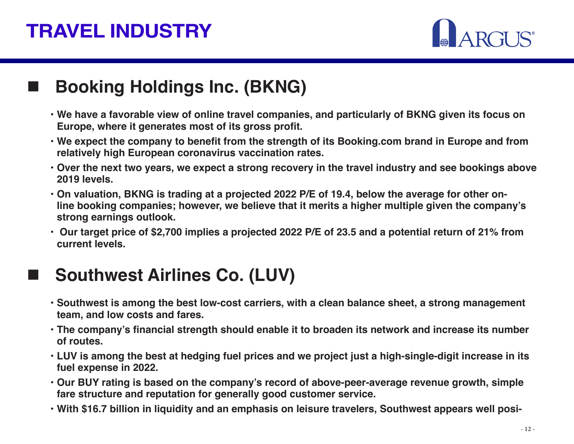## **TRAVEL INDUSTRY**

#### **Booking Holdings Inc. (BKNG)**

- **• We have a favorable view of online travel companies, and particularly of BKNG given its focus on Europe, where it generates most of its gross profit.**
- **• We expect the company to benefit from the strength of its Booking.com brand in Europe and from relatively high European coronavirus vaccination rates.**
- **• Over the next two years, we expect a strong recovery in the travel industry and see bookings above 2019 levels.**
- **• On valuation, BKNG is trading at a projected 2022 P/E of 19.4, below the average for other online booking companies; however, we believe that it merits a higher multiple given the company's strong earnings outlook.**
- **Our target price of \$2,700 implies a projected 2022 P/E of 23.5 and a potential return of 21% from current levels.**

#### **Southwest Airlines Co. (LUV)**

- **• Southwest is among the best low-cost carriers, with a clean balance sheet, a strong management team, and low costs and fares.**
- **• The company's financial strength should enable it to broaden its network and increase its number of routes.**
- **• LUV is among the best at hedging fuel prices and we project just a high-single-digit increase in its fuel expense in 2022.**
- **• Our BUY rating is based on the company's record of above-peer-average revenue growth, simple fare structure and reputation for generally good customer service.**
- **• With \$16.7 billion in liquidity and an emphasis on leisure travelers, Southwest appears well posi-**